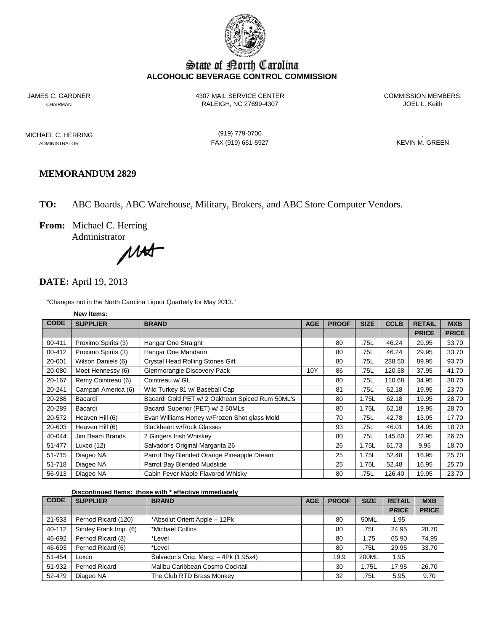

# State of Borth Carolina **ALCOHOLIC BEVERAGE CONTROL COMMISSION**

JAMES C. GARDNER 4307 MAIL SERVICE CENTER COMMISSION MEMBERS: CHAIRMAN RALEIGH, NC 27699-4307

MICHAEL C. HERRING (919) 779-0700 .

ADMINISTRATOR FAX (919) 661-5927

## **MEMORANDUM 2829**

**TO:** ABC Boards, ABC Warehouse, Military, Brokers, and ABC Store Computer Vendors.

**From:** Michael C. Herring

Administrator<br>
MA

### **DATE:** April 19, 2013

"Changes not in the North Carolina Liquor Quarterly for May 2013."

|             | New Items:          |                                                  |            |              |             |             |               |              |
|-------------|---------------------|--------------------------------------------------|------------|--------------|-------------|-------------|---------------|--------------|
| <b>CODE</b> | <b>SUPPLIER</b>     | <b>BRAND</b>                                     | <b>AGE</b> | <b>PROOF</b> | <b>SIZE</b> | <b>CCLB</b> | <b>RETAIL</b> | <b>MXB</b>   |
|             |                     |                                                  |            |              |             |             | <b>PRICE</b>  | <b>PRICE</b> |
| 00-411      | Proximo Spirits (3) | Hangar One Straight                              |            | 80           | .75L        | 46.24       | 29.95         | 33.70        |
| 00-412      | Proximo Spirits (3) | Hangar One Mandarin                              |            | 80           | .75L        | 46.24       | 29.95         | 33.70        |
| 20-001      | Wilson Daniels (6)  | Crystal Head Rolling Stones Gift                 |            | 80           | .75L        | 288.50      | 89.95         | 93.70        |
| 20-080      | Moet Hennessy (6)   | Glenmorangie Discovery Pack                      | 10Y        | 86           | .75L        | 120.38      | 37.95         | 41.70        |
| 20-167      | Remy Cointreau (6)  | Cointreau w/ GL                                  |            | 80           | .75L        | 110.68      | 34.95         | 38.70        |
| 20-241      | Campari America (6) | Wild Turkey 81 w/ Baseball Cap                   |            | 81           | .75L        | 62.18       | 19.95         | 23.70        |
| 20-288      | Bacardi             | Bacardi Gold PET w/ 2 Oakheart Spiced Rum 50ML's |            | 80           | 1.75L       | 62.18       | 19.95         | 28.70        |
| 20-289      | Bacardi             | Bacardi Superior (PET) w/ 2 50MLs                |            | 80           | 1.75L       | 62.18       | 19.95         | 28.70        |
| 20-572      | Heaven Hill (6)     | Evan Williams Honey w/Frozen Shot glass Mold     |            | 70           | .75L        | 42.78       | 13.95         | 17.70        |
| 20-603      | Heaven Hill (6)     | <b>Blackheart w/Rock Glasses</b>                 |            | 93           | .75L        | 46.01       | 14.95         | 18.70        |
| 40-044      | Jim Beam Brands     | 2 Gingers Irish Whiskey                          |            | 80           | .75L        | 145.80      | 22.95         | 26.70        |
| 51-477      | Luxco $(12)$        | Salvador's Original Margarita 26                 |            | 26           | 1.75L       | 61.73       | 9.95          | 18.70        |
| 51-715      | Diageo NA           | Parrot Bay Blended Orange Pineapple Dream        |            | 25           | 1.75L       | 52.48       | 16.95         | 25.70        |
| 51-718      | Diageo NA           | Parrot Bay Blended Mudslide                      |            | 25           | 1.75L       | 52.48       | 16.95         | 25.70        |
| 56-913      | Diageo NA           | Cabin Fever Maple Flavored Whisky                |            | 80           | .75L        | 126.40      | 19.95         | 23.70        |

**Discontinued Items: those with \* effective immediately** 

| <b>CODE</b> | <b>SUPPLIER</b>       | <b>BRAND</b>                          | <b>AGE</b> | <b>PROOF</b> | <b>SIZE</b> | <b>RETAIL</b> | <b>MXB</b>   |
|-------------|-----------------------|---------------------------------------|------------|--------------|-------------|---------------|--------------|
|             |                       |                                       |            |              |             | <b>PRICE</b>  | <b>PRICE</b> |
| 21-533      | Pernod Ricard (120)   | *Absolut Orient Apple - 12Pk          |            | 80           | 50ML        | 1.95          |              |
| 40-112      | Sindey Frank Imp. (6) | *Michael Collins                      |            | 80           | .75L        | 24.95         | 28.70        |
| 46-692      | Pernod Ricard (3)     | *Level                                |            | 80           | 1.75        | 65.90         | 74.95        |
| 46-693      | Pernod Ricard (6)     | *Level                                |            | 80           | .75L        | 29.95         | 33.70        |
| 51-454      | Luxco                 | Salvador's Orig. Marg. - 4Pk (1.95x4) |            | 19.9         | 200ML       | 1.95          |              |
| 51-932      | Pernod Ricard         | Malibu Caribbean Cosmo Cocktail       |            | 30           | 1.75L       | 17.95         | 26.70        |
| 52-479      | Diageo NA             | The Club RTD Brass Monkey             |            | 32           | .75L        | 5.95          | 9.70         |